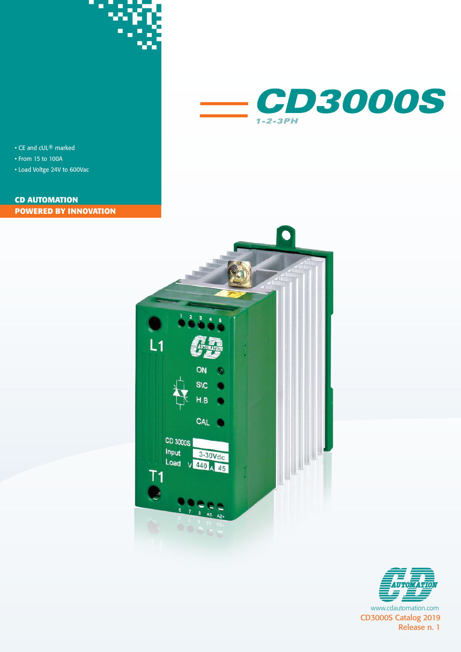



• CE and cUL® marked

- From 15 to 100A
- Load Voltge 24V to 600Vac

### **POWERED BY INNOVATION CD AUTOMATION**



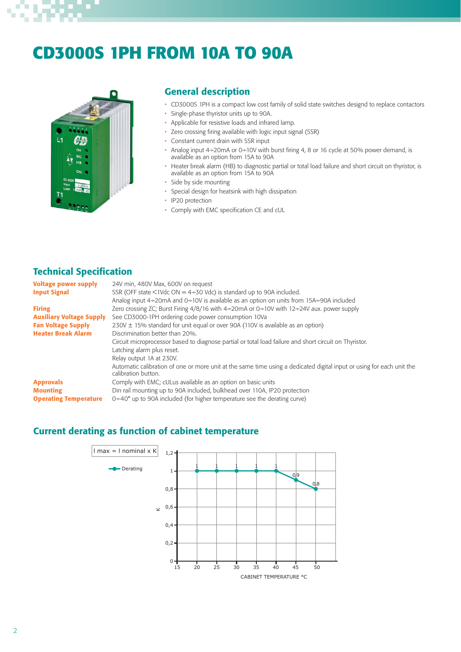# S) ٠

# **CD3000S 1PH FROM 10A TO 90A**



### General description

- CD3000S 1PH is a compact low cost family of solid state switches designd to replace contactors
- Single-phase thyristor units up to 90A.
- Applicable for resistive loads and infrared lamp.
- Zero crossing firing available with logic input signal (SSR)
- Constant current drain with SSR input
- Analog input 4÷20mA or 0÷10V with burst firing 4, 8 or 16 cycle at 50% power demand, is available as an option from 15A to 90A
- Heater break alarm (HB) to diagnostic partial or total load failure and short circuit on thyristor, is available as an option from 15A to 90A
- Side by side mounting
- Special design for heatsink with high dissipation
- IP20 protection
- Comply with EMC specification CE and cUL

## Technical Specification

| <b>Voltage power supply</b><br><b>Input Signal</b> | 24V min, 480V Max, 600V on request<br>SSR (OFF state $\leq$ 1Vdc ON = 4 $\div$ 30 Vdc) is standard up to 90A included.                       |
|----------------------------------------------------|----------------------------------------------------------------------------------------------------------------------------------------------|
|                                                    | Analog input 4÷20mA and 0÷10V is available as an option on units from 15A÷90A included                                                       |
| <b>Firing</b>                                      | Zero crossing ZC; Burst Firing $4/8/16$ with $4\div 20$ mA or 0 $\div 10V$ with 12 $\div 24V$ aux. power supply                              |
| <b>Auxiliary Voltage Supply</b>                    | See CD3000-1PH ordering code power consumption 10Va                                                                                          |
| <b>Fan Voltage Supply</b>                          | $230V \pm 15\%$ standard for unit equal or over 90A (110V is available as an option)                                                         |
| <b>Heater Break Alarm</b>                          | Discrimination better than 20%.                                                                                                              |
|                                                    | Circuit microprocessor based to diagnose partial or total load failure and short circuit on Thyristor.                                       |
|                                                    | Latching alarm plus reset.                                                                                                                   |
|                                                    | Relay output 1A at 230V.                                                                                                                     |
|                                                    | Automatic calibration of one or more unit at the same time using a dedicated digital input or using for each unit the<br>calibration button. |
| <b>Approvals</b>                                   | Comply with EMC; cULus available as an option on basic units                                                                                 |
| <b>Mounting</b>                                    | Din rail mounting up to 90A included, bulkhead over 110A, IP20 protection                                                                    |
| <b>Operating Temperature</b>                       | $0+40^{\circ}$ up to 90A included (for higher temperature see the derating curve)                                                            |

### Current derating as function of cabinet temperature

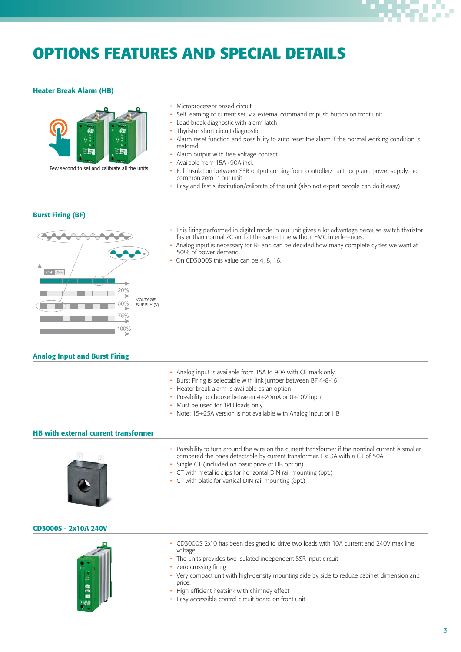# **OPTIONS FEATURES AND SPECIAL DETAILS**

### Heater Break Alarm (HB)



Few second to set and calibrate all the units

- Microprocessor based circuit
- Self learning of current set, via external command or push button on front unit
- Load break diagnostic with alarm latch
- Thyristor short circuit diagnostic
- Alarm reset function and possibility to auto reset the alarm if the normal working condition is restored
- Alarm output with free voltage contact
- Available from 15A÷90A incl.
- Full insulation between SSR output coming from controller/multi loop and power supply, no common zero in our unit
- Easy and fast substitution/calibrate of the unit (also not expert people can do it easy)

### Burst Firing (BF)



- This firing performed in digital mode in our unit gives a lot advantage because switch thyristor faster than normal ZC and at the same time without EMC interferences.
- Analog input is necessary for BF and can be decided how many complete cycles we want at 50% of power demand.
- On CD3000S this value can be 4, 8, 16.

### Analog Input and Burst Firing

- Analog input is available from 15A to 90A with CE mark only
- Burst Firing is selectable with link jumper between BF 4-8-16
- Heater break alarm is available as an option
- Possibility to choose between 4÷20mA or 0÷10V input
- Must be used for 1PH loads only
- Note: 15÷25A version is not available with Analog Input or HB

### HB with external current transformer



- Possibility to turn around the wire on the current transformer if the nominal current is smaller compared the ones detectable by current transformer. Es: 3A with a CT of 50A
- Single CT (included on basic price of HB option)
- CT with metallic clips for horizontal DIN rail mounting (opt.)
- CT with platic for vertical DIN rail mounting (opt.)

#### CD3000S - 2x10A 240V



- CD3000S 2x10 has been designed to drive two loads with 10A current and 240V max line voltage
- The units provides two isulated independent SSR input circuit
- Zero crossing firing
- Very compact unit with high-density mounting side by side to reduce cabinet dimension and price.
- High efficient heatsink with chimney effect
- Easy accessible control circuit board on front unit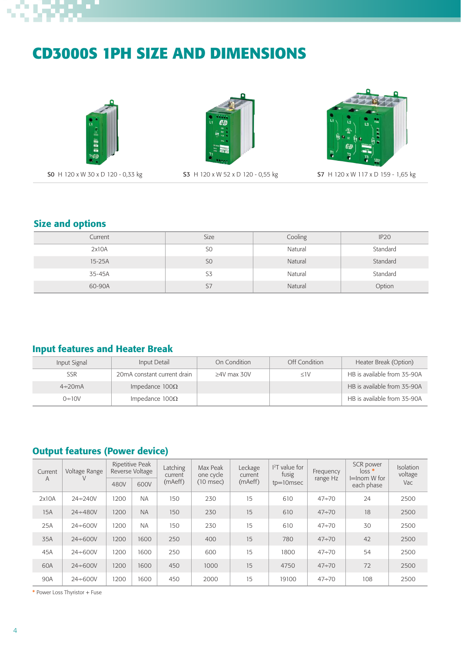# S)

# **CD3000S 1PH SIZE AND DIMENSIONS**







S0 H 120 x W 30 x D 120 - 0,33 kg S3 H 120 x W 52 x D 120 - 0,55 kg S7 H 120 x W 117 x D 159 - 1,65 kg

# Size and options

| Current | Size           | Cooling | IP20     |
|---------|----------------|---------|----------|
| 2x10A   | S <sub>0</sub> | Natural | Standard |
| 15-25A  | S <sub>0</sub> | Natural | Standard |
| 35-45A  | S <sub>3</sub> | Natural | Standard |
| 60-90A  | S7             | Natural | Option   |

# Input features and Heater Break

| Input Signal  | Input Detail                | On Condition    | Off Condition | Heater Break (Option)       |
|---------------|-----------------------------|-----------------|---------------|-----------------------------|
| <b>SSR</b>    | 20mA constant current drain | $>4V$ max $30V$ | <1V           | HB is available from 35-90A |
| $4\div 20$ mA | Impedance $100\Omega$       |                 |               | HB is available from 35-90A |
| $0+10V$       | Impedance $100\Omega$       |                 |               | HB is available from 35-90A |

# Output features (Power device)

| Current | Voltage Range  |      | Ripetitive Peak<br>Reverse Voltage | Latching<br>current | Max Peak<br>one cycle | Leckage<br>current | $12T$ value for<br>fusig | Frequency<br>range Hz | SCR power<br>$loss$ *<br>$I =$ Inom W for | Isolation<br>voltage |
|---------|----------------|------|------------------------------------|---------------------|-----------------------|--------------------|--------------------------|-----------------------|-------------------------------------------|----------------------|
| A       |                | 480V | 600V                               | (mAeff)             | $(10$ msec $)$        | (mAeff)            | $tp=10$ msec             |                       | each phase                                | Vac                  |
| 2x10A   | $24 + 240V$    | 1200 | <b>NA</b>                          | 150                 | 230                   | 15                 | 610                      | $47 + 70$             | 24                                        | 2500                 |
| 15A     | $24 \div 480V$ | 1200 | <b>NA</b>                          | 150                 | 230                   | 15                 | 610                      | $47 \div 70$          | 18                                        | 2500                 |
| 25A     | $24 + 600V$    | 1200 | <b>NA</b>                          | 150                 | 230                   | 15                 | 610                      | $47 + 70$             | 30                                        | 2500                 |
| 35A     | $24 \div 600V$ | 1200 | 1600                               | 250                 | 400                   | 15                 | 780                      | $47 \div 70$          | 42                                        | 2500                 |
| 45A     | $24 + 600V$    | 1200 | 1600                               | 250                 | 600                   | 15                 | 1800                     | $47 + 70$             | 54                                        | 2500                 |
| 60A     | $24 \div 600V$ | 1200 | 1600                               | 450                 | 1000                  | 15                 | 4750                     | $47 \div 70$          | 72                                        | 2500                 |
| 90A     | $24 + 600V$    | 1200 | 1600                               | 450                 | 2000                  | 15                 | 19100                    | $47 + 70$             | 108                                       | 2500                 |

\* Power Loss Thyristor + Fuse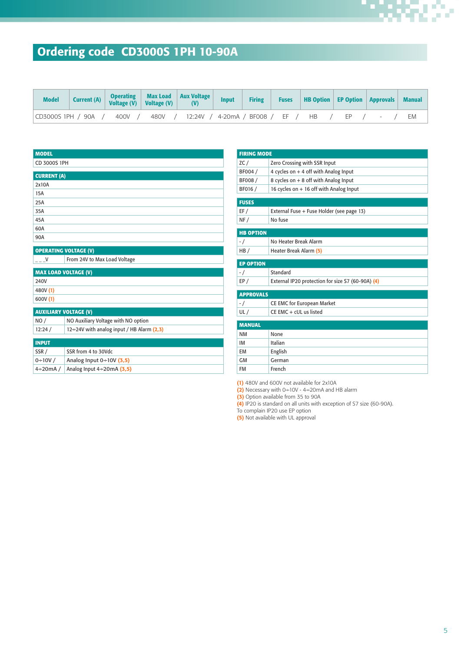# Ordering code CD3000S 1PH 10-90A

| <b>Model</b> |  | Current (A) Operating Max Load Aux Voltage Input                                        |  | Firing | <b>Fuses</b>   HB Option   EP Option   Approvals   Manual |  |    |
|--------------|--|-----------------------------------------------------------------------------------------|--|--------|-----------------------------------------------------------|--|----|
|              |  | CD3000S1PH / 90A /  400V /  480V /  12:24V / 4-20mA / BF008 /  EF /  HB  /  EP  /  -  / |  |        |                                                           |  | ЕM |

| <b>MODEL</b>                 |                                           |
|------------------------------|-------------------------------------------|
| CD 3000S 1PH                 |                                           |
|                              |                                           |
| <b>CURRENT (A)</b><br>2x10A  |                                           |
| 15A                          |                                           |
| 25A                          |                                           |
| 35A                          |                                           |
| 45A                          |                                           |
| 60A                          |                                           |
| 90A                          |                                           |
|                              |                                           |
|                              | <b>OPERATING VOLTAGE (V)</b>              |
| $-1 -$ V                     | From 24V to Max Load Voltage              |
| <b>MAX LOAD VOLTAGE (V)</b>  |                                           |
| 240V                         |                                           |
| 480V (1)                     |                                           |
| 600V (1)                     |                                           |
| <b>AUXILIARY VOLTAGE (V)</b> |                                           |
| NO/                          | NO Auxiliary Voltage with NO option       |
| 12:24/                       | 12÷24V with analog input / HB Alarm (2,3) |
|                              |                                           |
| <b>INPUT</b>                 |                                           |
| SSR/                         | SSR from 4 to 30Vdc                       |
| $0+10V/$                     | Analog Input $0+10V$ (3,5)                |
| $4\div20$ mA/                | Analog Input $4\div 20$ mA (3,5)          |

| <b>FIRING MODE</b> |                                                   |
|--------------------|---------------------------------------------------|
| ZC/                | Zero Crossing with SSR Input                      |
| BF004 /            | 4 cycles on $+$ 4 off with Analog Input           |
| BF008 /            | 8 cycles on + 8 off with Analog Input             |
| BF016 /            | 16 cycles on + 16 off with Analog Input           |
| <b>FUSES</b>       |                                                   |
| EF/                | External Fuse + Fuse Holder (see page 13)         |
| NF/                | No fuse                                           |
| <b>HB OPTION</b>   |                                                   |
| $-$ /              | No Heater Break Alarm                             |
| HB/                | Heater Break Alarm (5)                            |
| <b>EP OPTION</b>   |                                                   |
| $-$ /              | Standard                                          |
| EP/                | External IP20 protection for size S7 (60-90A) (4) |
| <b>APPROVALS</b>   |                                                   |
| $-$ /              | CE EMC for European Market                        |
| UL/                | $CE$ EMC + $cUL$ us listed                        |
| <b>MANUAL</b>      |                                                   |
| <b>NM</b>          | None                                              |
| <b>IM</b>          | Italian                                           |
| <b>FM</b>          | English                                           |
| <b>GM</b>          | German                                            |
| <b>FM</b>          | French                                            |

(1) 480V and 600V not available for 2x10A

(2) Necessary with  $0+10V - 4+20mA$  and HB alarm

(3) Option available from 35 to 90A

(4) IP20 is standard on all units with exception of S7 size (60-90A).

To complain IP20 use EP option

(5) Not available with UL approval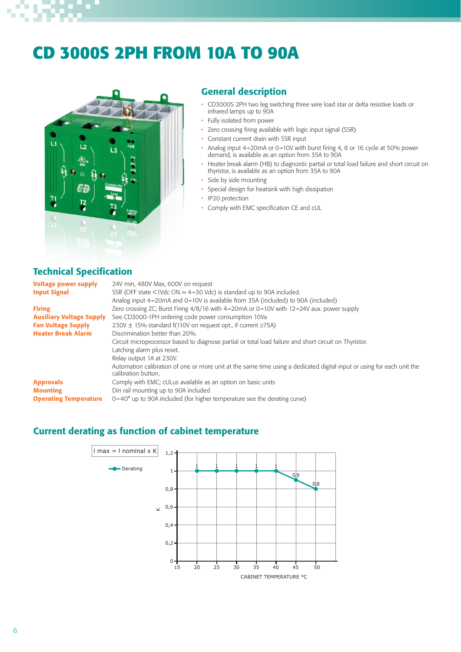# **CD 3000S 2PH FROM 10A TO 90A**



### General description

- CD3000S 2PH two leg switching three wire load star or delta resistive loads or infrared lamps up to 90A
- Fully isolated from power
- Zero crossing firing available with logic input signal (SSR)
- Constant current drain with SSR input
- Analog input 4÷20mA or 0÷10V with burst firing 4, 8 or 16 cycle at 50% power demand, is available as an option from 35A to 90A
- Heater break alarm (HB) to diagnostic partial or total load failure and short circuit on thyristor, is available as an option from 35A to 90A
- Side by side mounting
- Special design for heatsink with high dissipation
- IP20 protection
- Comply with EMC specification CE and cUL

## Technical Specification

| <b>Voltage power supply</b>     | 24V min, 480V Max, 600V on request                                                                                                            |
|---------------------------------|-----------------------------------------------------------------------------------------------------------------------------------------------|
| <b>Input Signal</b>             | SSR (OFF state $\leq$ 1Vdc ON = 4 $\div$ 30 Vdc) is standard up to 90A included.                                                              |
|                                 | Analog input $4\div 20$ mA and $0\div 10V$ is available from 35A (included) to 90A (included)                                                 |
| <b>Firing</b>                   | Zero crossing ZC; Burst Firing $4/8/16$ with $4\div 20$ mA or 0 $\div 10V$ with 12 $\div 24V$ aux. power supply                               |
| <b>Auxiliary Voltage Supply</b> | See CD3000-1PH ordering code power consumption 10Va                                                                                           |
| <b>Fan Voltage Supply</b>       | 230V $\pm$ 15% standard f(110V on request opt., if current $\geq$ 75A)                                                                        |
| <b>Heater Break Alarm</b>       | Discrimination better than 20%.                                                                                                               |
|                                 | Circuit microprocessor based to diagnose partial or total load failure and short circuit on Thyristor.                                        |
|                                 | Latching alarm plus reset.                                                                                                                    |
|                                 | Relay output 1A at 230V.                                                                                                                      |
|                                 | Automation calibration of one or more unit at the same time using a dedicated digital input or using for each unit the<br>calibration button. |
| <b>Approvals</b>                | Comply with EMC; cULus available as an option on basic units                                                                                  |
| <b>Mounting</b>                 | Din rail mounting up to 90A included                                                                                                          |
| <b>Operating Temperature</b>    | $0+40^{\circ}$ up to 90A included (for higher temperature see the derating curve)                                                             |

### Current derating as function of cabinet temperature

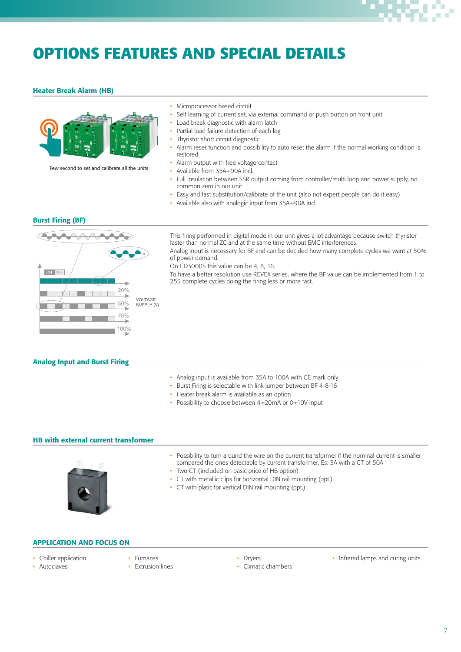

# **OPTIONS FEATURES AND SPECIAL DETAILS**

### Heater Break Alarm (HB)



Few second to set and calibrate all the units

- Microprocessor based circuit
- Self learning of current set, via external command or push button on front unit
- Load break diagnostic with alarm latch
- Partial load failure detection of each leg
- Thyristor short circuit diagnostic
- Alarm reset function and possibility to auto reset the alarm if the normal working condition is restored
- Alarm output with free voltage contact
- Available from 35A÷90A incl.
- Full insulation between SSR output coming from controller/multi loop and power supply, no common zero in our unit
- Easy and fast substitution/calibrate of the unit (also not expert people can do it easy)
- Available also with analogic input from 35A÷90A incl.

#### Burst Firing (BF)



This firing performed in digital mode in our unit gives a lot advantage because switch thyristor faster than normal ZC and at the same time without EMC interferences.

Analog input is necessary for BF and can be decided how many complete cycles we want at 50% of power demand.

On CD3000S this value can be 4, 8, 16.

To have a better resolution use REVEX series, where the BF value can be implemented from 1 to 255 complete cycles doing the firing less or more fast.

#### Analog Input and Burst Firing

- Analog input is available from 35A to 100A with CE mark only
- Burst Firing is selectable with link jumper between BF 4-8-16
- Heater break alarm is available as an option
- Possibility to choose between 4÷20mA or 0÷10V input

#### HB with external current transformer



- Possibility to turn around the wire on the current transformer if the nominal current is smaller compared the ones detectable by current transformer. Es: 3A with a CT of 50A
- Two CT (included on basic price of HB option)
- CT with metallic clips for horizontal DIN rail mounting (opt.)
- CT with platic for vertical DIN rail mounting (opt.)

#### APPLICATION AND FOCUS ON

- Chiller application
- Autoclaves
- Furnaces • Extrusion lines
- Dryers
	- Climatic chambers
- Infrared lamps and curing units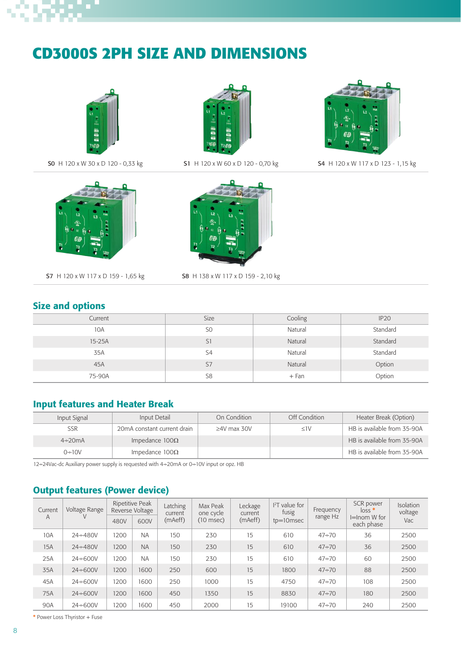# **CD3000S 2PH SIZE AND DIMENSIONS**







SO H 120 x W 30 x D 120 - 0,33 kg S1 H 120 x W 60 x D 120 - 0,70 kg S4 H 120 x W 117 x D 123 - 1,15 kg



S7 H 120 x W 117 x D 159 - 1,65 kg



S8 H 138 x W 117 x D 159 - 2,10 kg

# Size and options

| Current | Size           | Cooling | IP <sub>20</sub> |
|---------|----------------|---------|------------------|
| 10A     | S <sub>0</sub> | Natural | Standard         |
| 15-25A  | S1             | Natural | Standard         |
| 35A     | S4             | Natural | Standard         |
| 45A     | S7             | Natural | Option           |
| 75-90A  | S <sub>8</sub> | $+$ Fan | Option           |

## Input features and Heater Break

| Input Signal  | Input Detail                | On Condition      | Off Condition | Heater Break (Option)       |
|---------------|-----------------------------|-------------------|---------------|-----------------------------|
| <b>SSR</b>    | 20mA constant current drain | $\geq$ 4V max 30V | $\leq$ 1V     | HB is available from 35-90A |
| $4\div 20$ mA | Impedance $100\Omega$       |                   |               | HB is available from 35-90A |
| $0+10V$       | Impedance $100\Omega$       |                   |               | HB is available from 35-90A |

12÷24Vac-dc Auxiliary power supply is requested with 4÷20mA or 0÷10V input or opz. HB

# Output features (Power device)

| Current<br>A | Voltage Range  | 480V | Ripetitive Peak<br>Reverse Voltage<br>600V | Latching<br>current<br>(mAeff) | Max Peak<br>one cycle<br>(10 msec) | Leckage<br>current<br>(mAeff) | $I2T$ value for<br>fusig<br>$tp=10$ msec | Frequency<br>range Hz | SCR power<br>$loss$ *<br>⊫lnom W for<br>each phase | Isolation<br>voltage<br>Vac |
|--------------|----------------|------|--------------------------------------------|--------------------------------|------------------------------------|-------------------------------|------------------------------------------|-----------------------|----------------------------------------------------|-----------------------------|
| 10A          | $24 \div 480V$ | 1200 | <b>NA</b>                                  | 150                            | 230                                | 15                            | 610                                      | $47 + 70$             | 36                                                 | 2500                        |
| 15A          | $24 \div 480V$ | 1200 | <b>NA</b>                                  | 150                            | 230                                | 15                            | 610                                      | $47 \div 70$          | 36                                                 | 2500                        |
| 25A          | $24 \div 600V$ | 1200 | <b>NA</b>                                  | 150                            | 230                                | 15                            | 610                                      | $47 + 70$             | 60                                                 | 2500                        |
| 35A          | $24 \div 600V$ | 1200 | 1600                                       | 250                            | 600                                | 15                            | 1800                                     | $47 \div 70$          | 88                                                 | 2500                        |
| 45A          | $24 \div 600V$ | 1200 | 1600                                       | 250                            | 1000                               | 15                            | 4750                                     | $47 + 70$             | 108                                                | 2500                        |
| 75A          | $24 \div 600V$ | 1200 | 1600                                       | 450                            | 1350                               | 15                            | 8830                                     | $47 \div 70$          | 180                                                | 2500                        |
| 90A          | $24 \div 600V$ | 1200 | 1600                                       | 450                            | 2000                               | 15                            | 19100                                    | $47 + 70$             | 240                                                | 2500                        |

\* Power Loss Thyristor + Fuse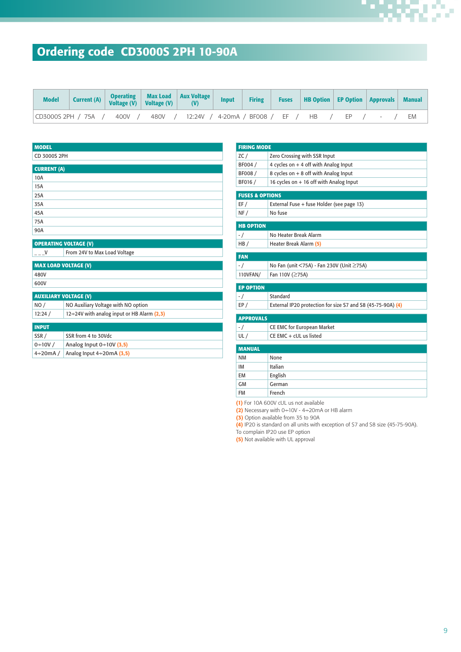# Ordering code CD3000S 2PH 10-90A

| <b>Model</b>      |  | Current (A) Operating Max Load Aux Voltage Input           | <b>Firing</b> | <b>Fuses</b>   HB Option   EP Option   Approvals   Manual |  |    |
|-------------------|--|------------------------------------------------------------|---------------|-----------------------------------------------------------|--|----|
| CD3000S 2PH / 75A |  | 400V / 480V / 12:24V / 4-20mA / BF008 / EF / HB / EP / - / |               |                                                           |  | EM |

| <b>OPERATING VOLTAGE (V)</b>               |
|--------------------------------------------|
| From 24V to Max Load Voltage               |
| <b>MAX LOAD VOLTAGE (V)</b>                |
|                                            |
|                                            |
|                                            |
| <b>AUXILIARY VOLTAGE (V)</b>               |
| NO Auxiliary Voltage with NO option        |
| 12÷24V with analog input or HB Alarm (2,3) |
|                                            |
| SSR from 4 to 30Vdc                        |
| Analog Input $0+10V$ (3,5)                 |
| Analog Input $4\div 20$ mA (3,5)           |
|                                            |

| <b>FIRING MODE</b>         |                                                             |
|----------------------------|-------------------------------------------------------------|
| ZC/                        | Zero Crossing with SSR Input                                |
| BF004 /                    | 4 cycles on $+$ 4 off with Analog Input                     |
| BF008 /                    | 8 cycles on + 8 off with Analog Input                       |
| BF016 /                    | 16 cycles on + 16 off with Analog Input                     |
| <b>FUSES &amp; OPTIONS</b> |                                                             |
| EF/                        | External Fuse + fuse Holder (see page 13)                   |
| NF/                        | No fuse                                                     |
| <b>HB OPTION</b>           |                                                             |
| $-$ /                      | No Heater Break Alarm                                       |
| HB/                        | Heater Break Alarm (5)                                      |
| <b>FAN</b>                 |                                                             |
| $-1$                       | No Fan (unit <75A) - Fan 230V (Unit ≥75A)                   |
| 110VFAN/                   | Fan 110V (≥75A)                                             |
| <b>EP OPTION</b>           |                                                             |
| $-$ /                      | Standard                                                    |
| EP/                        | External IP20 protection for size S7 and S8 (45-75-90A) (4) |
| <b>APPROVALS</b>           |                                                             |
| - /                        | CE EMC for European Market                                  |
| UL/                        | CE EMC + cUL us listed                                      |
| <b>MANUAL</b>              |                                                             |
| <b>NM</b>                  | None                                                        |
| <b>IM</b>                  | Italian                                                     |
| <b>EM</b>                  | English                                                     |
| <b>GM</b>                  | German                                                      |
|                            |                                                             |
| FM                         | French                                                      |

(1) For 10A 600V cUL us not available

 $(2)$  Necessary with 0÷10V - 4÷20mA or HB alarm

(3) Option available from 35 to 90A

(4) IP20 is standard on all units with exception of S7 and S8 size (45-75-90A).

To complain IP20 use EP option (5) Not available with UL approval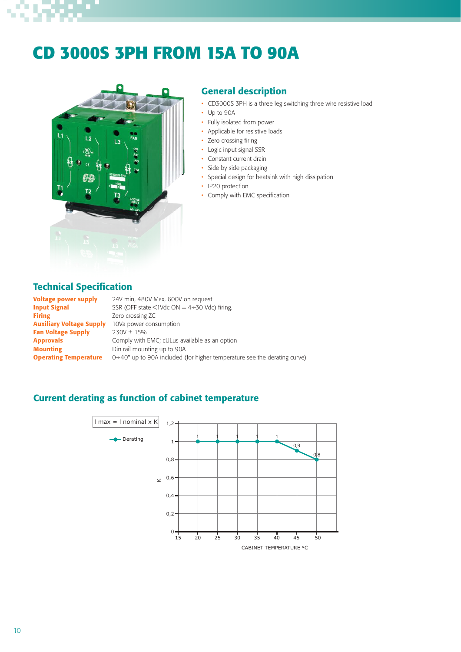# **CD 3000S 3PH FROM 15A TO 90A**



## General description

- CD3000S 3PH is a three leg switching three wire resistive load
- Up to 90A
- Fully isolated from power
- Applicable for resistive loads
- Zero crossing firing
- Logic input signal SSR
- Constant current drain
- Side by side packaging
- Special design for heatsink with high dissipation
- IP20 protection
- Comply with EMC specification

### Technical Specification

**Voltage power supply** 24V min, 480V Max, 600V on request **Input Signal** SSR (OFF state  $\lt$ 1Vdc ON = 4 $\div$ 30 Vdc) firing. Firing **Exercise 2** Zero crossing ZC **Auxiliary Voltage Supply** 10Va power consumption Fan Voltage Supply  $230V \pm 15\%$ Approvals **Approvals** Comply with EMC; cULus available as an option **Mounting** Din rail mounting up to 90A **Operating Temperature** 0÷40° up to 90A included (for higher temperature see the derating curve)

## Current derating as function of cabinet temperature

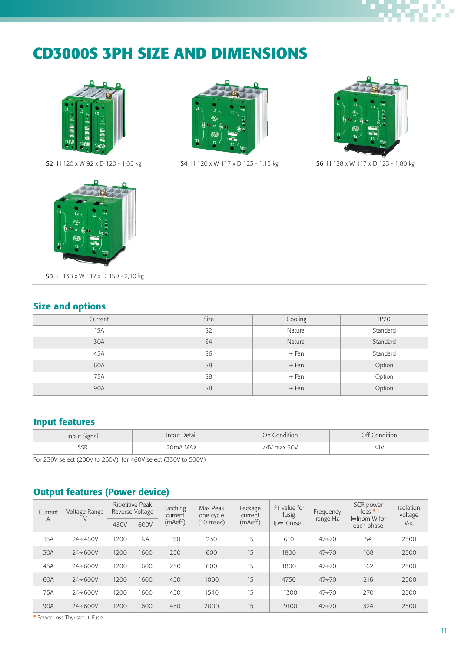# **CD3000S 3PH SIZE AND DIMENSIONS**





**S2** H 120 x W 92 x D 120 - 1,05 kg **S4** H 120 x W 117 x D 123 - 1,15 kg **S6** H 138 x W 117 x D 123 - 1,80 kg





S8 H 138 x W 117 x D 159 - 2,10 kg

## Size and options

| Current | Size           | Cooling | IP <sub>20</sub> |
|---------|----------------|---------|------------------|
| 15A     | S <sub>2</sub> | Natural | Standard         |
| 30A     | S <sub>4</sub> | Natural | Standard         |
| 45A     | S <sub>6</sub> | $+Fan$  | Standard         |
| 60A     | S <sub>8</sub> | $+Fan$  | Option           |
| 75A     | S <sub>8</sub> | $+Fan$  | Option           |
| 90A     | S <sub>8</sub> | $+Fan$  | Option           |

# Input features

| Input Signal | Input Detail | On Condition      | Off Condition |
|--------------|--------------|-------------------|---------------|
| SSK          | 20mA MAX     | $\geq$ 4V max 30V | _             |

For 230V select (200V to 260V); for 460V select (330V to 500V)

# Output features (Power device)

| Current | Voltage Range  |      | Ripetitive Peak<br>Reverse Voltage | Latching<br>current | Max Peak<br>one cycle | Leckage<br>current | $I2T$ value for<br>fusig | Frequency<br>range Hz | SCR power<br>$loss$ *<br>$I =$ Inom W for | Isolation<br>voltage |  |
|---------|----------------|------|------------------------------------|---------------------|-----------------------|--------------------|--------------------------|-----------------------|-------------------------------------------|----------------------|--|
| A       |                | 480V | 600V                               | (mAeff)             | $(10$ msec)           | (mAeff)            | $tp=10$ msec             |                       | each phase                                | Vac                  |  |
| 15A     | $24 + 480V$    | 1200 | <b>NA</b>                          | 150                 | 230                   | 15                 | 610                      | $47 + 70$             | 54                                        | 2500                 |  |
| 30A     | $24 \div 600V$ | 1200 | 1600                               | 250                 | 600                   | 15                 | 1800                     | $47 \div 70$          | 108                                       | 2500                 |  |
| 45A     | $24 \div 600V$ | 1200 | 1600                               | 250                 | 600                   | 15                 | 1800                     | $47 + 70$             | 162                                       | 2500                 |  |
| 60A     | $24 \div 600V$ | 1200 | 1600                               | 450                 | 1000                  | 15                 | 4750                     | $47 \div 70$          | 216                                       | 2500                 |  |
| 75A     | $24 \div 600V$ | 1200 | 1600                               | 450                 | 1540                  | 15                 | 11300                    | $47 \div 70$          | 270                                       | 2500                 |  |
| 90A     | $24 \div 600V$ | 1200 | 1600                               | 450                 | 2000                  | 15                 | 19100                    | $47 \div 70$          | 324                                       | 2500                 |  |

\* Power Loss Thyristor + Fuse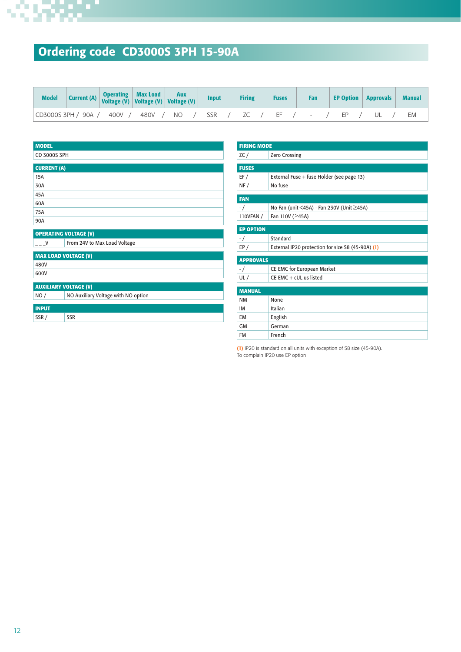

# Ordering code CD3000S 3PH 15-90A

| Model                                                           |  | Current (A) Operating Max Load Aux<br>Voltage (V) Voltage (V) Voltage (V) Voltage (V) Input |  |  | <b>Firing</b> | <b>Fuses</b> | Fan |  | <b>EP Option   Approvals  </b> | <b>Manual</b> |
|-----------------------------------------------------------------|--|---------------------------------------------------------------------------------------------|--|--|---------------|--------------|-----|--|--------------------------------|---------------|
| CD3000S 3PH / 90A / 400V / 480V / NO / SSR / ZC / EF / - / EP / |  |                                                                                             |  |  |               |              |     |  | $\mathbf{U}$ /                 | EM            |

| <b>MODEL</b>                 |                                     |
|------------------------------|-------------------------------------|
| CD 3000S 3PH                 |                                     |
| <b>CURRENT (A)</b>           |                                     |
| 15A                          |                                     |
| 30A                          |                                     |
| 45A                          |                                     |
| 60A                          |                                     |
| 75A                          |                                     |
| 90A                          |                                     |
|                              | <b>OPERATING VOLTAGE (V)</b>        |
| $---V$                       | From 24V to Max Load Voltage        |
| <b>MAX LOAD VOLTAGE (V)</b>  |                                     |
| 480V                         |                                     |
| 600V                         |                                     |
| <b>AUXILIARY VOLTAGE (V)</b> |                                     |
| NO/                          | NO Auxiliary Voltage with NO option |
| <b>INPUT</b>                 |                                     |
| SSR/                         | <b>SSR</b>                          |

| <b>FIRING MODE</b> |                                                   |
|--------------------|---------------------------------------------------|
| ZC/                | <b>Zero Crossing</b>                              |
|                    |                                                   |
| <b>FUSES</b>       |                                                   |
| EF/                | External Fuse + fuse Holder (see page 13)         |
| NF/                | No fuse                                           |
|                    |                                                   |
| <b>FAN</b>         |                                                   |
| $-1$               | No Fan (unit <45A) - Fan 230V (Unit ≥45A)         |
| 110VFAN /          | Fan 110V (≥45A)                                   |
|                    |                                                   |
| <b>EP OPTION</b>   |                                                   |
| $-$ /              | Standard                                          |
| EP/                | External IP20 protection for size S8 (45-90A) (1) |
|                    |                                                   |
| <b>APPROVALS</b>   |                                                   |
| $-$ /              | CE EMC for European Market                        |
| UL/                | CE EMC + cUL us listed                            |
|                    |                                                   |
| <b>MANUAL</b>      |                                                   |
| <b>NM</b>          | None                                              |
| IM                 | Italian                                           |
| <b>EM</b>          | English                                           |
| <b>GM</b>          | German                                            |
| <b>FM</b>          | French                                            |

(1) IP20 is standard on all units with exception of S8 size (45-90A). To complain IP20 use EP option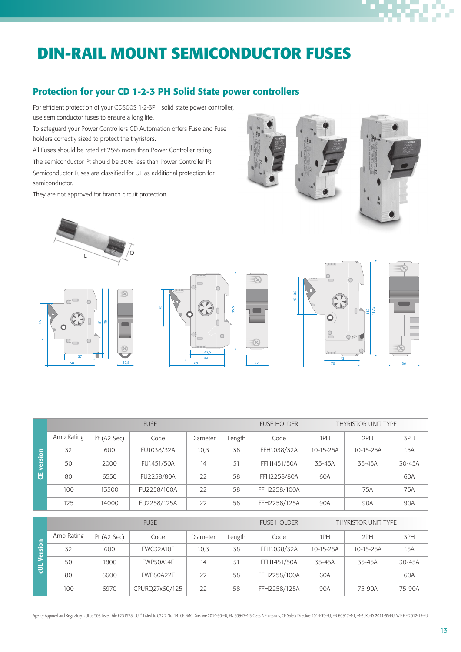# **DIN-RAIL MOUNT SEMICONDUCTOR FUSES**

### Protection for your CD 1-2-3 PH Solid State power controllers

For efficient protection of your CD300S 1-2-3PH solid state power controller, use semiconductor fuses to ensure a long life.

To safeguard your Power Controllers CD Automation offers Fuse and Fuse holders correctly sized to protect the thyristors.

All Fuses should be rated at 25% more than Power Controller rating. The semiconductor <sup>[2</sup>t should be 30% less than Power Controller <sup>[2</sup>t]. Semiconductor Fuses are classified for UL as additional protection for semiconductor.

They are not approved for branch circuit protection.



5 86 п

 $\overline{\mathbf{x}}$ 

58 17,8

37

Ċ

4





|             |            |               | <b>FUSE</b>      |                    |                     | <b>FUSE HOLDER</b> |           | <b>THYRISTOR UNIT TYPE</b> |        |
|-------------|------------|---------------|------------------|--------------------|---------------------|--------------------|-----------|----------------------------|--------|
|             | Amp Rating | $Pt$ (A2 Sec) | Code             | <b>Diameter</b>    | Length              | Code               | 1PH       | 2PH                        | 3PH    |
| version     | 32         | 600           | FU1038/32A       | 10,3               | 38                  | FFH1038/32A        | 10-15-25A | 10-15-25A                  | 15A    |
|             | 50         | 2000          | FU1451/50A       | 14                 | 51                  | FFH1451/50A        | 35-45A    | 35-45A                     | 30-45A |
| <u>უ</u>    | 80         | 6550          | FU2258/80A       | 22                 | 58                  | FFH2258/80A        | 60A       |                            | 60A    |
|             | 100        | 13500         | FU2258/100A      | 22                 | 58                  | FFH2258/100A       |           | 75A                        | 75A    |
|             | 125        | 14000         | FU2258/125A      | 22                 | 58                  | FFH2258/125A       | 90A       | 90A                        | 90A    |
|             |            |               |                  |                    |                     |                    |           |                            |        |
|             |            |               | <b>FUSE</b>      | <b>FUSE HOLDER</b> | THYRISTOR UNIT TYPE |                    |           |                            |        |
|             | Amp Rating | $Pt$ (A2 Sec) | Code             | Diameter           | Length              | Code               | 1PH       | 2PH                        | 3PH    |
| cUL Version | 32         | 600           | <b>FWC32A10F</b> | 10,3               | 38                  | FFH1038/32A        | 10-15-25A | 10-15-25A                  | 15A    |
|             | 50         | 1800          | FWP50A14F        | 14                 | 51                  | FFH1451/50A        | 35-45A    | 35-45A                     | 30-45A |
|             | 80         | 6600          | FWP80A22F        | 22                 | 58                  | FFH2258/100A       | 60A       |                            | 60A    |
|             | 100        | 6970          | CPURQ27x60/125   | 22                 | 58                  | FFH2258/125A       | 90A       | 75-90A                     | 75-90A |





Agency Approval and Regulatory: cULus 508 Listed File E231578; cUL® Listed to C22.2 No. 14; CE EMC Directive 2014-30-EU, EN 60947-4-3 Class A Emissions; CE Safety Directive 2014-35-EU, EN 60947-4-1, -4-3; RoHS 2011-65-EU;